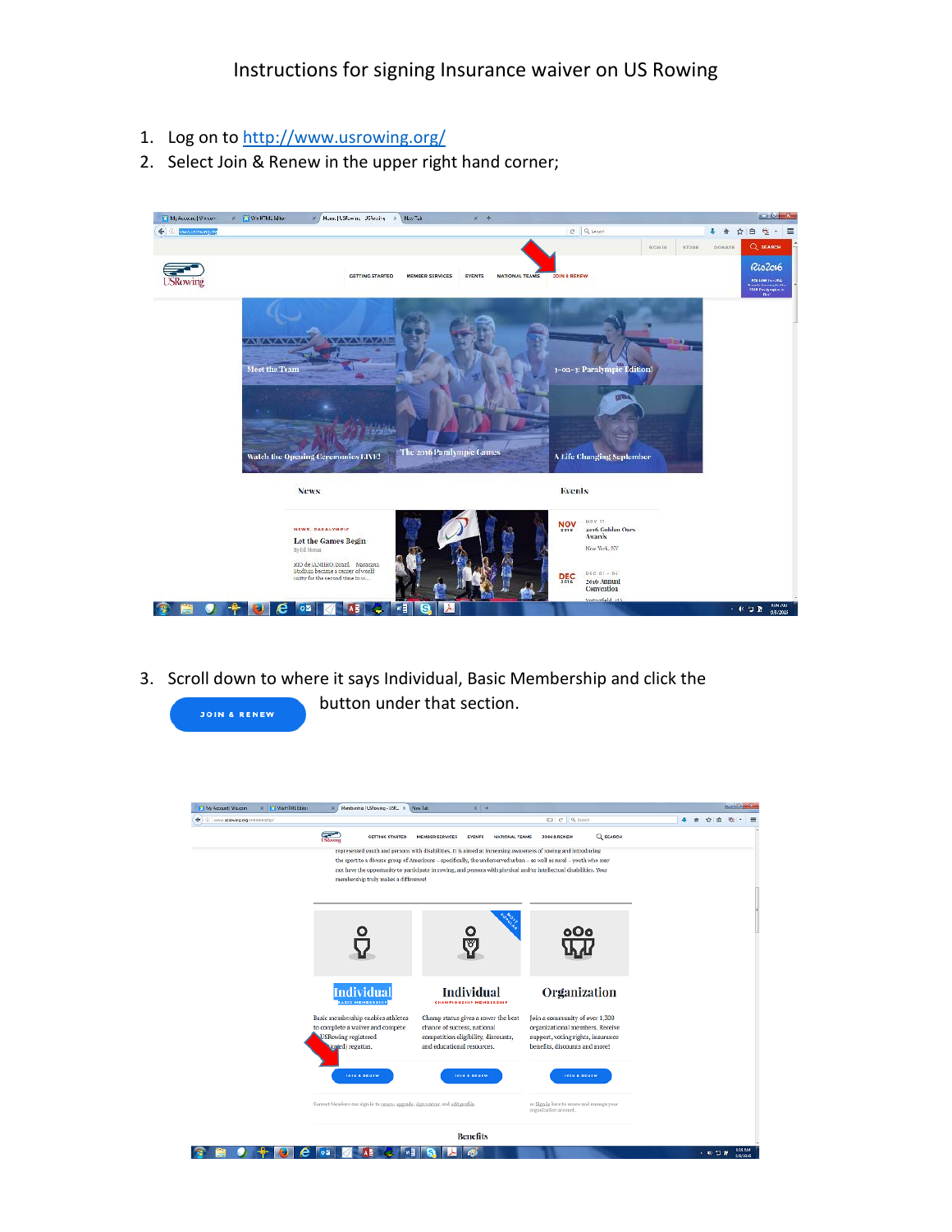Instructions for signing Insurance waiver on US Rowing

1. Log on to<http://www.usrowing.org/>

**JOIN & RENEW** 

2. Select Join & Renew in the upper right hand corner;



3. Scroll down to where it says Individual, Basic Membership and click the button under that section.

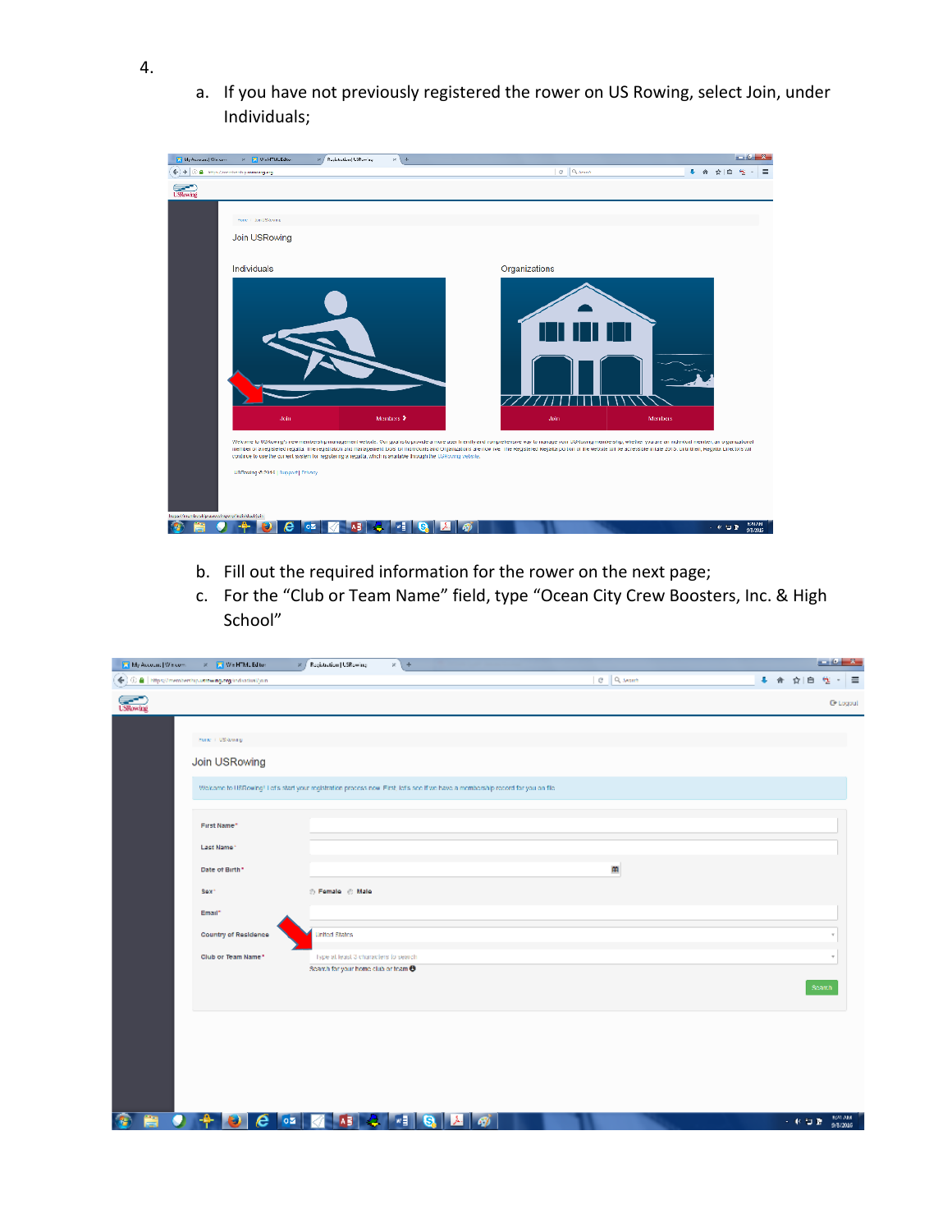a. If you have not previously registered the rower on US Rowing, select Join, under Individuals;



- b. Fill out the required information for the rower on the next page;
- c. For the "Club or Team Name" field, type "Ocean City Crew Boosters, Inc. & High School"

| My Account   Wincom | x   We HTML Editor                                     | 8 / Registration   USRowing<br>$x +$                                                                                            |           |        |        |                                   |
|---------------------|--------------------------------------------------------|---------------------------------------------------------------------------------------------------------------------------------|-----------|--------|--------|-----------------------------------|
|                     | ← 0 a https://memberchip.ukrow.ng.org/individual/join- |                                                                                                                                 | C Q Month | ٠<br>舎 | ŵ      | $\equiv$                          |
| <b>Control</b>      |                                                        |                                                                                                                                 |           |        |        | <b>C</b> Logoul                   |
|                     |                                                        |                                                                                                                                 |           |        |        |                                   |
|                     | Honor / US/Soving                                      |                                                                                                                                 |           |        |        |                                   |
|                     | Join USRowing                                          |                                                                                                                                 |           |        |        |                                   |
|                     |                                                        | Welcome to USRowing! Let's start your registration process now. First, let's see if we have a membership record for you on file |           |        |        |                                   |
|                     |                                                        |                                                                                                                                 |           |        |        |                                   |
|                     | First Name"                                            |                                                                                                                                 |           |        |        |                                   |
|                     | Last Name*                                             |                                                                                                                                 |           |        |        |                                   |
|                     | Date of Birth*                                         |                                                                                                                                 | m         |        |        |                                   |
|                     | Sex <sup>+</sup>                                       | ⊙ Female © Male                                                                                                                 |           |        |        |                                   |
|                     | Email*                                                 |                                                                                                                                 |           |        |        |                                   |
|                     | Country of Residence                                   | <b>United States</b>                                                                                                            |           |        |        |                                   |
|                     | Club or Team Name*                                     | Type at least 3 characters to search.                                                                                           |           |        |        |                                   |
|                     |                                                        | Search for your home club or fears 8                                                                                            |           |        |        |                                   |
|                     |                                                        |                                                                                                                                 |           |        | Search |                                   |
|                     |                                                        |                                                                                                                                 |           |        |        |                                   |
|                     |                                                        |                                                                                                                                 |           |        |        |                                   |
|                     |                                                        |                                                                                                                                 |           |        |        |                                   |
|                     |                                                        |                                                                                                                                 |           |        |        |                                   |
|                     |                                                        |                                                                                                                                 |           |        |        |                                   |
| ë<br>Q<br>Œ         | e                                                      | w≣<br>$ 02\rangle$<br>s<br>ᄻ                                                                                                    | Ā.<br>Ø   |        | 一杯口草   | $\frac{104 \text{ AM}}{9/8/2016}$ |

4.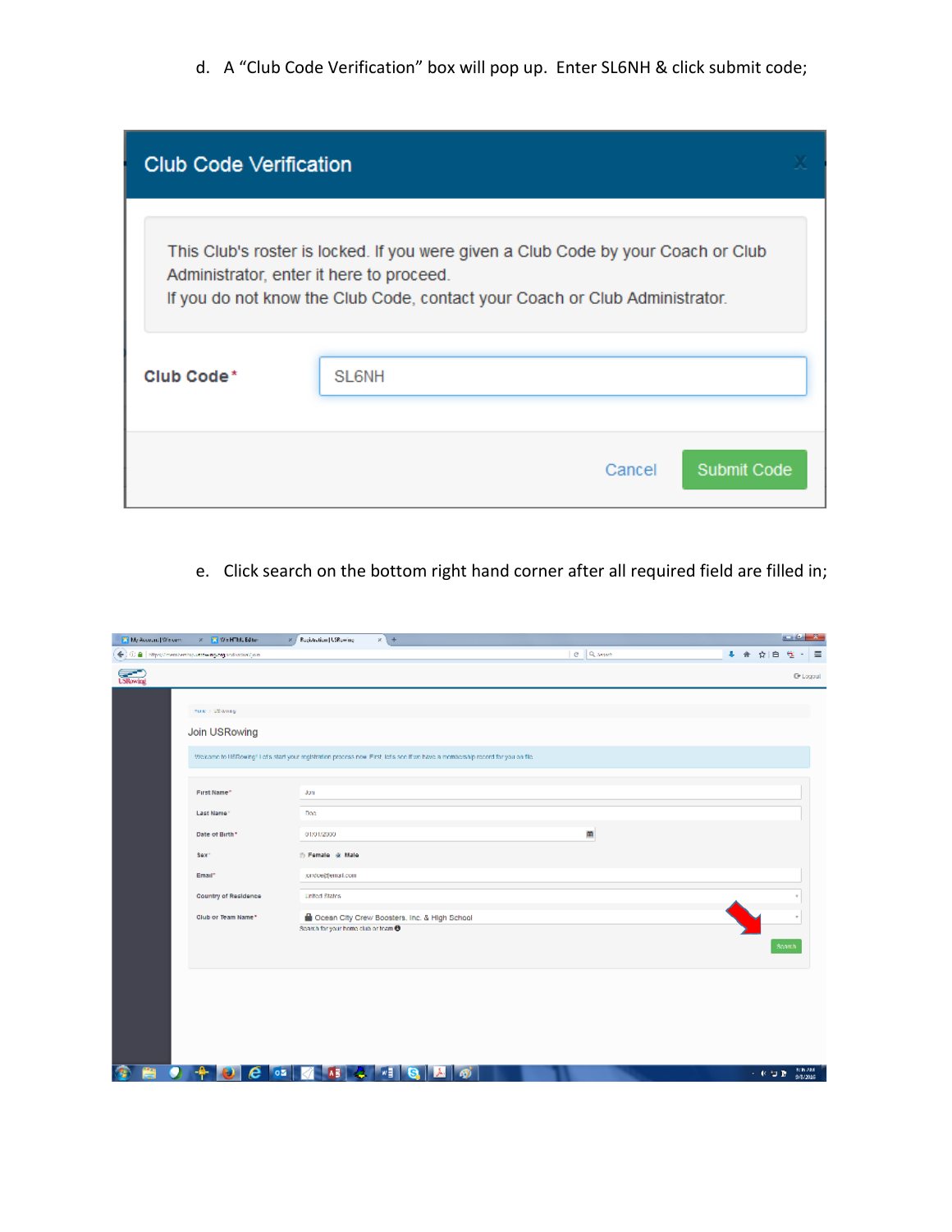d. A "Club Code Verification" box will pop up. Enter SL6NH & click submit code;

| <b>Club Code Verification</b>            |                                                                                                                                                                  |  |
|------------------------------------------|------------------------------------------------------------------------------------------------------------------------------------------------------------------|--|
| Administrator, enter it here to proceed. | This Club's roster is locked. If you were given a Club Code by your Coach or Club<br>If you do not know the Club Code, contact your Coach or Club Administrator. |  |
| Club Code*                               | SL <sub>6NH</sub>                                                                                                                                                |  |
|                                          |                                                                                                                                                                  |  |
|                                          | Submit Code<br>Cancel                                                                                                                                            |  |

e. Click search on the bottom right hand corner after all required field are filled in;

| My Account   Wincom | x Mi Wi-HTMLEditor                             | 8 / Registration   USRewing<br>$x +$                                                                                             |            | $-0 - 2$                           |
|---------------------|------------------------------------------------|----------------------------------------------------------------------------------------------------------------------------------|------------|------------------------------------|
|                     | ← 0 8 Hps//memberbiputrowng.org/indictivi/join |                                                                                                                                  | e   Queent | + 合 ☆ 白<br>鬼<br>$\equiv$           |
| <b>Concept</b>      |                                                |                                                                                                                                  |            | <b>C</b> Logoul                    |
|                     |                                                |                                                                                                                                  |            |                                    |
|                     | Hund / USRowing                                |                                                                                                                                  |            |                                    |
|                     | Join USRowing                                  |                                                                                                                                  |            |                                    |
|                     |                                                | Welcome to USRowing! Let's start your registration process now. First, let's see if we have a membership record for you on file. |            |                                    |
|                     |                                                |                                                                                                                                  |            |                                    |
|                     | First Name*                                    | Jon                                                                                                                              |            |                                    |
|                     | Last Name*                                     | Doc                                                                                                                              |            |                                    |
|                     | Date of Birth*                                 | 01/01/2000                                                                                                                       | 窜          |                                    |
|                     | Sex <sup>+</sup>                               | Themale @ Male                                                                                                                   |            |                                    |
|                     | Email*                                         | jondoe@email.com                                                                                                                 |            |                                    |
|                     | Country of Residence                           | <b>United States</b>                                                                                                             |            |                                    |
|                     | Club or Team Name*                             | Ocean City Crew Boosters, Inc. & High School                                                                                     |            |                                    |
|                     |                                                | Search for your home club or team @                                                                                              |            |                                    |
|                     |                                                |                                                                                                                                  |            | Search                             |
|                     |                                                |                                                                                                                                  |            |                                    |
|                     |                                                |                                                                                                                                  |            |                                    |
|                     |                                                |                                                                                                                                  |            |                                    |
|                     |                                                |                                                                                                                                  |            |                                    |
|                     |                                                |                                                                                                                                  |            |                                    |
| Ω<br>菺<br>Æ         | 02 <br>е                                       | w≣<br>s<br>A)<br>国<br>Æ.                                                                                                         |            | $\frac{1000000}{9/862016}$<br>一杯口酒 |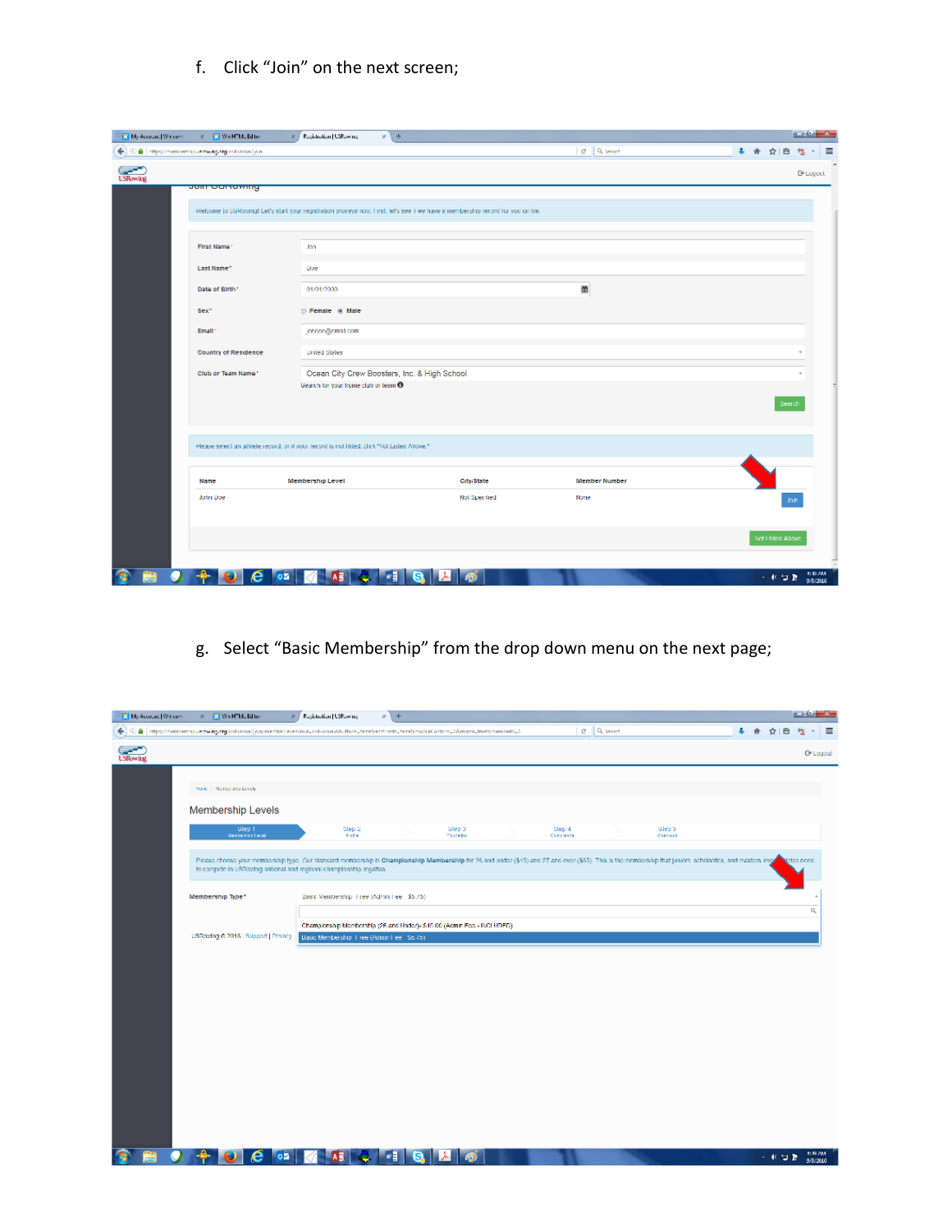f. Click "Join" on the next screen;

| My Account   Wiscom | x We HTML Editor                                      | $x +$<br>R / Registration   USRowing                                                        |                                                                                                                                  |                 |                     |
|---------------------|-------------------------------------------------------|---------------------------------------------------------------------------------------------|----------------------------------------------------------------------------------------------------------------------------------|-----------------|---------------------|
|                     | ← 0 a https://memberchip.ustowing.org/individual/join |                                                                                             |                                                                                                                                  | <b>C</b> Queens | + 命 ☆ 白<br>÷        |
|                     |                                                       |                                                                                             |                                                                                                                                  |                 | <sup>O</sup> Logout |
|                     | <del>Julii Ourtowing</del>                            |                                                                                             |                                                                                                                                  |                 |                     |
|                     |                                                       |                                                                                             |                                                                                                                                  |                 |                     |
|                     |                                                       |                                                                                             | Welcome to USRowing) Let's start your registration process now. First, let's see it we have a membership record for you on life. |                 |                     |
|                     | First Name*                                           | Jon                                                                                         |                                                                                                                                  |                 |                     |
|                     |                                                       |                                                                                             |                                                                                                                                  |                 |                     |
|                     | Last Name"                                            | Doe                                                                                         |                                                                                                                                  |                 |                     |
|                     | Date of Birth*                                        | 01/01/2000                                                                                  |                                                                                                                                  | œ               |                     |
|                     | Sex*                                                  | to Female @ Male                                                                            |                                                                                                                                  |                 |                     |
|                     | Email                                                 |                                                                                             |                                                                                                                                  |                 |                     |
|                     |                                                       | jondooggomal.com                                                                            |                                                                                                                                  |                 |                     |
|                     | Country of Residence                                  | <b>Umled States</b>                                                                         |                                                                                                                                  |                 |                     |
|                     | Club or Team Name"                                    | Ocean City Crew Boosters, Inc. & High School                                                |                                                                                                                                  |                 |                     |
|                     |                                                       | Search for your home club or team <sup>®</sup>                                              |                                                                                                                                  |                 |                     |
|                     |                                                       |                                                                                             |                                                                                                                                  |                 | Search              |
|                     |                                                       |                                                                                             |                                                                                                                                  |                 |                     |
|                     |                                                       | Please selection athlete record, on it your record is not tisled, click "Not Listed Above." |                                                                                                                                  |                 |                     |
|                     |                                                       |                                                                                             |                                                                                                                                  |                 |                     |
|                     | Name                                                  | Membership Level                                                                            | City/State                                                                                                                       | Member Number   |                     |
|                     | John Doe                                              |                                                                                             | Nol Specified                                                                                                                    | None            |                     |
|                     |                                                       |                                                                                             |                                                                                                                                  |                 | <b>Jain</b>         |
|                     |                                                       |                                                                                             |                                                                                                                                  |                 |                     |
|                     |                                                       |                                                                                             |                                                                                                                                  |                 | Not Listed Above    |
|                     |                                                       |                                                                                             |                                                                                                                                  |                 |                     |

g. Select "Basic Membership" from the drop down menu on the next page;

| My Account   Wiscom | X   We HTML Editor                                                                                                                                                                                                                                                                | Registration   USRewing                                                 | $x +$   |                             |                     |                 |                     |     | $-0 - 8$                          |                   |
|---------------------|-----------------------------------------------------------------------------------------------------------------------------------------------------------------------------------------------------------------------------------------------------------------------------------|-------------------------------------------------------------------------|---------|-----------------------------|---------------------|-----------------|---------------------|-----|-----------------------------------|-------------------|
| $\leftarrow$        | $\ket{\oplus}$ $\parallel$ https://membership.ustowing.org/individual/join/member/evek(mie.undividual/buthons.hike/bacclinds.hike/backle/bohum.bWminos.html?/memberld.b                                                                                                           |                                                                         |         |                             |                     | <b>C</b> Queent |                     | ↓ 合 | ☆∥<br>白                           | $\equiv$          |
| <b>Committee</b>    |                                                                                                                                                                                                                                                                                   |                                                                         |         |                             |                     |                 |                     |     |                                   | <b>C</b> * Logoul |
|                     |                                                                                                                                                                                                                                                                                   |                                                                         |         |                             |                     |                 |                     |     |                                   |                   |
|                     | Hone / Nenbergha Levels                                                                                                                                                                                                                                                           |                                                                         |         |                             |                     |                 |                     |     |                                   |                   |
|                     | Membership Levels                                                                                                                                                                                                                                                                 |                                                                         |         |                             |                     |                 |                     |     |                                   |                   |
|                     | Glep 1<br>Nambership Level                                                                                                                                                                                                                                                        | Step 2<br><b>Rodia</b>                                                  |         | Glep 3<br><b>Discrition</b> | Step 4<br>Completes |                 | Glep 5<br>Checkraft |     |                                   |                   |
|                     | Ploase choose your membership type. Our standard membership is Champlonship Membership for 26 and under (\$45) and 27 and over (\$65). This is the membership that juniors, scholastics, and masters level<br>to compete in USRowing national and regional championship regalias. |                                                                         |         |                             |                     |                 |                     |     | boon adole                        |                   |
|                     | Membership Type*                                                                                                                                                                                                                                                                  | Basic Membership, Tree (Admin Fee 35.75)                                |         |                             |                     |                 |                     |     |                                   |                   |
|                     |                                                                                                                                                                                                                                                                                   | Championship Membership (26 and Under)- \$45.00 (Admin Fee - INCLUDED). |         |                             |                     |                 |                     |     | o,                                |                   |
|                     | USRowing @ 2016   Support   Privacy                                                                                                                                                                                                                                               | Dasc Membership 1 ree (Admin Fee 1 \$5,75)                              |         |                             |                     |                 |                     |     |                                   |                   |
|                     |                                                                                                                                                                                                                                                                                   |                                                                         |         |                             |                     |                 |                     |     |                                   |                   |
|                     |                                                                                                                                                                                                                                                                                   |                                                                         |         |                             |                     |                 |                     |     |                                   |                   |
|                     |                                                                                                                                                                                                                                                                                   |                                                                         |         |                             |                     |                 |                     |     |                                   |                   |
|                     |                                                                                                                                                                                                                                                                                   |                                                                         |         |                             |                     |                 |                     |     |                                   |                   |
|                     |                                                                                                                                                                                                                                                                                   |                                                                         |         |                             |                     |                 |                     |     |                                   |                   |
|                     |                                                                                                                                                                                                                                                                                   |                                                                         |         |                             |                     |                 |                     |     |                                   |                   |
|                     |                                                                                                                                                                                                                                                                                   |                                                                         |         |                             |                     |                 |                     |     |                                   |                   |
|                     |                                                                                                                                                                                                                                                                                   |                                                                         |         |                             |                     |                 |                     |     |                                   |                   |
|                     |                                                                                                                                                                                                                                                                                   |                                                                         |         |                             |                     |                 |                     |     |                                   |                   |
|                     |                                                                                                                                                                                                                                                                                   |                                                                         |         |                             |                     |                 |                     |     |                                   |                   |
|                     |                                                                                                                                                                                                                                                                                   |                                                                         |         |                             |                     |                 |                     |     |                                   |                   |
|                     | e<br>юø                                                                                                                                                                                                                                                                           |                                                                         | ‴림<br>s | G)                          |                     |                 |                     |     | <b>BON AM</b><br>一杯口酒<br>9/8/2016 |                   |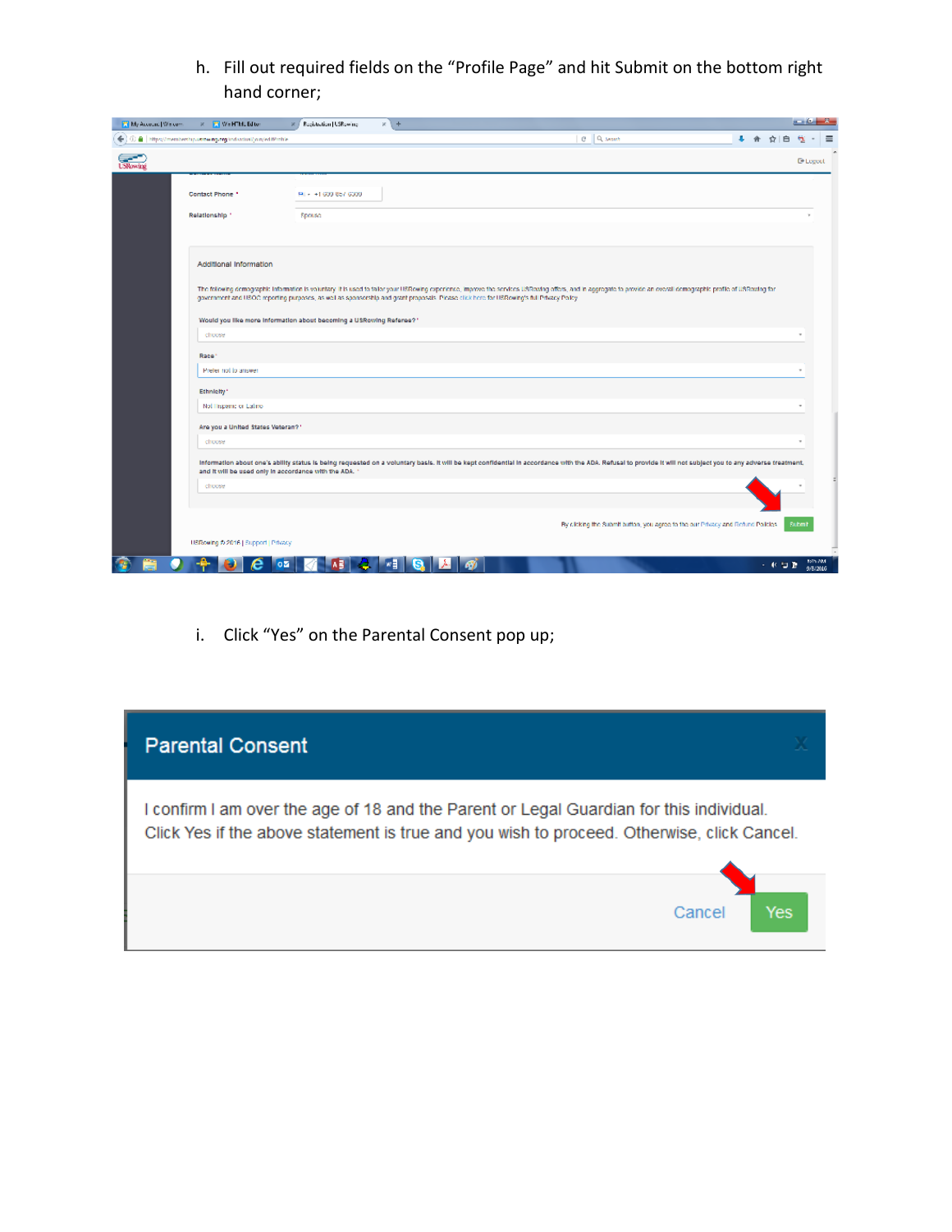h. Fill out required fields on the "Profile Page" and hit Submit on the bottom right hand corner;

| My Account   Wincom | <b>X   We HTML Editor</b>                                           | Registration   USRowing | $x +$                                                                                                                                                                                                                                                                                                                                                           |      | $-6$                       |  |
|---------------------|---------------------------------------------------------------------|-------------------------|-----------------------------------------------------------------------------------------------------------------------------------------------------------------------------------------------------------------------------------------------------------------------------------------------------------------------------------------------------------------|------|----------------------------|--|
|                     | € C B https://memberchip.uspear.p.org/individual/join/edifficitie   |                         | <b>C</b> Queens                                                                                                                                                                                                                                                                                                                                                 | ☆    |                            |  |
| <b>Calculus</b>     |                                                                     |                         |                                                                                                                                                                                                                                                                                                                                                                 |      | <b>D</b> Legeet            |  |
|                     |                                                                     |                         |                                                                                                                                                                                                                                                                                                                                                                 |      |                            |  |
|                     | Contact Phone *                                                     | FM + +1 609 857 6309    |                                                                                                                                                                                                                                                                                                                                                                 |      |                            |  |
|                     | Relationship *                                                      | Spouse                  |                                                                                                                                                                                                                                                                                                                                                                 |      |                            |  |
|                     |                                                                     |                         |                                                                                                                                                                                                                                                                                                                                                                 |      |                            |  |
|                     | Additional Information                                              |                         |                                                                                                                                                                                                                                                                                                                                                                 |      |                            |  |
|                     |                                                                     |                         | The following demographic information is voluntary it is used to tallor your USRowing experience, improve the services USRowing offers, and in aggregate to provide an overall demographic profile of USRowing for<br>government and USOC reporting purposes, as well as sponsorship and grant proposals. Please click here for USRowing's full Privacy Policy. |      |                            |  |
|                     | Would you like more information about becoming a USRowing Referee?" |                         |                                                                                                                                                                                                                                                                                                                                                                 |      |                            |  |
|                     | choose                                                              |                         |                                                                                                                                                                                                                                                                                                                                                                 |      |                            |  |
|                     | Race <sup>®</sup>                                                   |                         |                                                                                                                                                                                                                                                                                                                                                                 |      |                            |  |
|                     | Prefer not to arriver                                               |                         |                                                                                                                                                                                                                                                                                                                                                                 |      |                            |  |
|                     | Ethnielty <sup>*</sup>                                              |                         |                                                                                                                                                                                                                                                                                                                                                                 |      |                            |  |
|                     | Nol linspanic or Latino                                             |                         |                                                                                                                                                                                                                                                                                                                                                                 |      |                            |  |
|                     | Are you a United States Veteran?"                                   |                         |                                                                                                                                                                                                                                                                                                                                                                 |      |                            |  |
|                     | choose                                                              |                         |                                                                                                                                                                                                                                                                                                                                                                 |      |                            |  |
|                     | and it will be used only in accordance with the ADA. "              |                         | Information about one's ability status is being requested on a voluntary basis. It will be kept confidential in accordance with the ADA. Refusal to provide it will not subject you to any adverse treatment,                                                                                                                                                   |      |                            |  |
|                     | choose                                                              |                         |                                                                                                                                                                                                                                                                                                                                                                 |      |                            |  |
|                     |                                                                     |                         |                                                                                                                                                                                                                                                                                                                                                                 |      |                            |  |
|                     |                                                                     |                         | By clicking the Submit button, you agree to the our Privacy and Refund Policies.                                                                                                                                                                                                                                                                                |      | Submit                     |  |
|                     | USRowing @ 2016   Support   Privacy                                 |                         |                                                                                                                                                                                                                                                                                                                                                                 |      |                            |  |
|                     | oΣ                                                                  |                         | ‴릴<br>æ.                                                                                                                                                                                                                                                                                                                                                        | 一杯口酒 | <b>BSIN AM</b><br>9/8/2016 |  |

i. Click "Yes" on the Parental Consent pop up;

| <b>Parental Consent</b>                                                                                                                                                               |     |
|---------------------------------------------------------------------------------------------------------------------------------------------------------------------------------------|-----|
| I confirm I am over the age of 18 and the Parent or Legal Guardian for this individual.<br>Click Yes if the above statement is true and you wish to proceed. Otherwise, click Cancel. |     |
| Cancel                                                                                                                                                                                | Yes |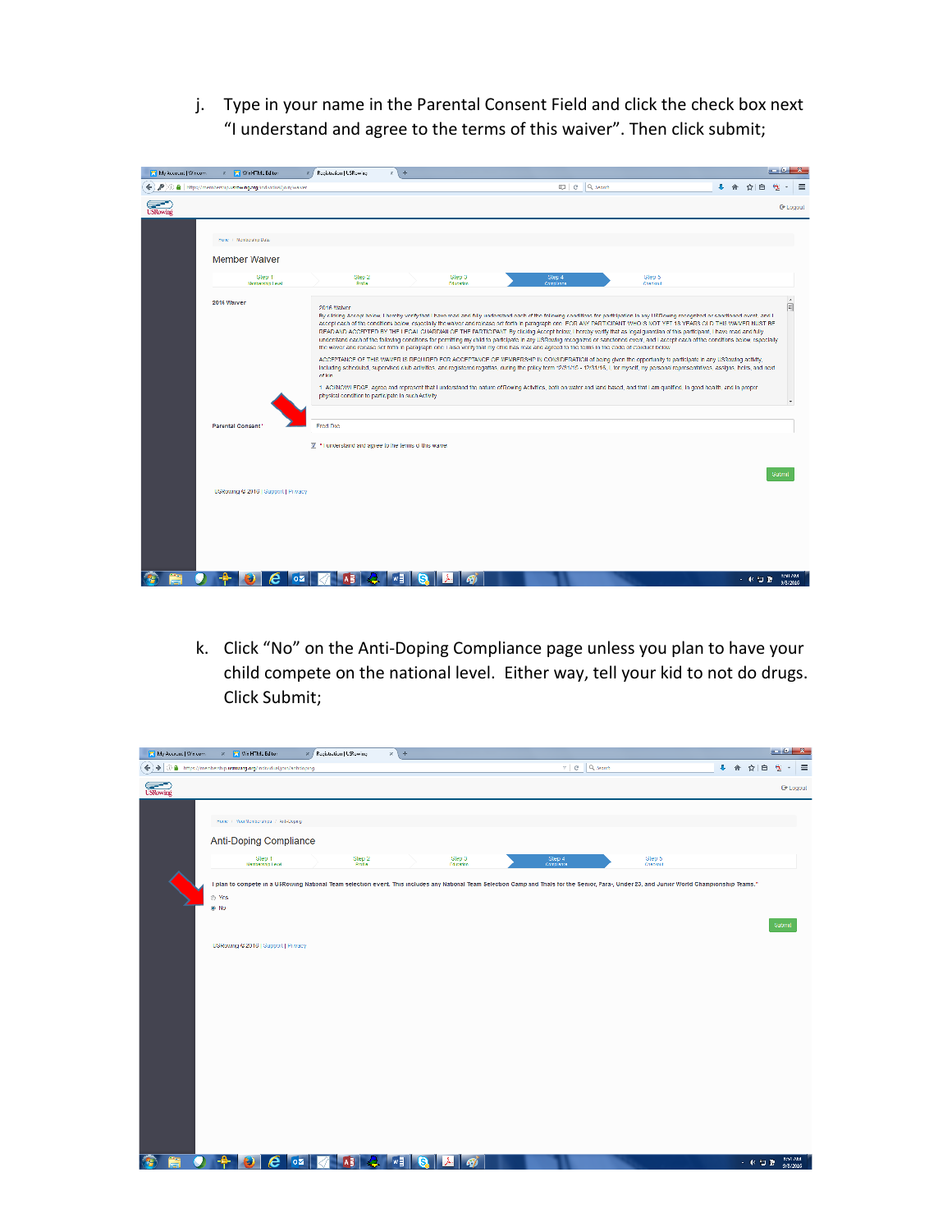j. Type in your name in the Parental Consent Field and click the check box next "I understand and agree to the terms of this waiver". Then click submit;

| My Account   Wincom | <b>x F</b> We HTML Editor                                      | Registration   USRewing                                                                                                                                       | $x + 4$ |                           |                      |                                                                                                                                                                                                                                                                                                                                                                                                                                                                                                                                                                                                                                                                                                                                                                                                                                                                                                                                                                                                                                                                                                                                                                                                                                                                                                                                                                                                                                    |         | --                         |
|---------------------|----------------------------------------------------------------|---------------------------------------------------------------------------------------------------------------------------------------------------------------|---------|---------------------------|----------------------|------------------------------------------------------------------------------------------------------------------------------------------------------------------------------------------------------------------------------------------------------------------------------------------------------------------------------------------------------------------------------------------------------------------------------------------------------------------------------------------------------------------------------------------------------------------------------------------------------------------------------------------------------------------------------------------------------------------------------------------------------------------------------------------------------------------------------------------------------------------------------------------------------------------------------------------------------------------------------------------------------------------------------------------------------------------------------------------------------------------------------------------------------------------------------------------------------------------------------------------------------------------------------------------------------------------------------------------------------------------------------------------------------------------------------------|---------|----------------------------|
|                     | ← / / O a https://memberchp.scowing.org/individual/join/weiver |                                                                                                                                                               |         |                           | <b>IDI C Q.March</b> |                                                                                                                                                                                                                                                                                                                                                                                                                                                                                                                                                                                                                                                                                                                                                                                                                                                                                                                                                                                                                                                                                                                                                                                                                                                                                                                                                                                                                                    | + 合 立 白 |                            |
| <b>USRowing</b>     |                                                                |                                                                                                                                                               |         |                           |                      |                                                                                                                                                                                                                                                                                                                                                                                                                                                                                                                                                                                                                                                                                                                                                                                                                                                                                                                                                                                                                                                                                                                                                                                                                                                                                                                                                                                                                                    |         | <b>C</b> Logoul            |
|                     | Hence: I Nontecrated Data:<br><b>Member Waiver</b>             |                                                                                                                                                               |         |                           |                      |                                                                                                                                                                                                                                                                                                                                                                                                                                                                                                                                                                                                                                                                                                                                                                                                                                                                                                                                                                                                                                                                                                                                                                                                                                                                                                                                                                                                                                    |         |                            |
|                     | <b>Slep 1</b><br><b>Manbarchio Level</b>                       | Step 2<br><b>Rodia</b>                                                                                                                                        |         | Glep 3<br><b>Discrite</b> | Step 4<br>Consilvaçã | Glep 5<br>Owners                                                                                                                                                                                                                                                                                                                                                                                                                                                                                                                                                                                                                                                                                                                                                                                                                                                                                                                                                                                                                                                                                                                                                                                                                                                                                                                                                                                                                   |         |                            |
|                     | 2016 Warver<br><b>Parental Consent</b>                         | 2016 Waters<br>of kin<br>physical condition to participate in such Activity.<br>Fred Dae<br>$\mathbb Z$ . * Funderstand and agree to the tenns of this waiver |         |                           |                      | By cloking Accept below, I hereby verify that I have read and fully understand each of the following conditions for participation in any USRowing recognized or sanctioned event, and I<br>accept each of the conditions below, especially the walver and release set forth in paragraph one. FOR ANY PARTICIPANT WHO IS NOT YET 18 YEARS OLD THIS WAIVER MUST BE<br>READ AND ACCEPTED BY THE LECAL CHARDIAN OF THE PARTICIPANT. By clicking Accept below, I hereby verify that as legal guardian of this participant, I have read and fully.<br>understand each of the following conditions for permitting my child to participate in any USRowing recognized or sanctioned event, and Laccept each of the conditions below, especially<br>the waiver and release set forth in paragraph one. Laise verify that my child has read and agreed to the terms in the Code of Conduct below.<br>ACCEPTANCE OF THIS WAIVER IS REQUIRED FOR ACCEPTANCE OF MEMBERSHIP IN CONSIDERATION of bolog given the opportunity to participate in any USReving activity,<br>Including scheduled, supervised club activities, and registered regattas, during the policy term 12/31/15 - 12/31/15, i, for myself, my personal representatives, assigns, beirs, and next<br>1. ACKNOWLEDGE, agree and represent that Lunderstand the nature of Rowing Activities, both on water and land based, and that Lam qualified, in good health, and in proper |         | ×.<br>同                    |
|                     | USRowing @ 2016   Support   Privacy                            |                                                                                                                                                               |         |                           |                      |                                                                                                                                                                                                                                                                                                                                                                                                                                                                                                                                                                                                                                                                                                                                                                                                                                                                                                                                                                                                                                                                                                                                                                                                                                                                                                                                                                                                                                    |         | <b>Submi</b>               |
|                     | oм                                                             |                                                                                                                                                               |         |                           |                      |                                                                                                                                                                                                                                                                                                                                                                                                                                                                                                                                                                                                                                                                                                                                                                                                                                                                                                                                                                                                                                                                                                                                                                                                                                                                                                                                                                                                                                    | 一杯口酒    | <b>BOILARA</b><br>0/3/2016 |

k. Click "No" on the Anti-Doping Compliance page unless you plan to have your child compete on the national level. Either way, tell your kid to not do drugs. Click Submit;

| My Account   Wincom | $\times$ $\blacksquare$ We HTML Editor                                                                                                                                                                          | X / Registration   USRewing |                | $x +$  |                     |                                           |                   |         | $-0 - 2$        |          |
|---------------------|-----------------------------------------------------------------------------------------------------------------------------------------------------------------------------------------------------------------|-----------------------------|----------------|--------|---------------------|-------------------------------------------|-------------------|---------|-----------------|----------|
| $\div$              | $\circledR$ . https://membership.ii/www.org.org/individual/join/arbdoping.                                                                                                                                      |                             |                |        |                     | $\forall$   $\theta$   $\theta$ , send    |                   | + 合 立 白 | $\frac{1}{2}$   | $\equiv$ |
| <b>Conduct</b>      |                                                                                                                                                                                                                 |                             |                |        |                     |                                           |                   |         | <b>C</b> Logoul |          |
|                     | Home / Your Nexteenings / Aub-Depag-                                                                                                                                                                            |                             |                |        |                     |                                           |                   |         |                 |          |
|                     | Anti-Doping Compliance                                                                                                                                                                                          |                             |                |        |                     |                                           |                   |         |                 |          |
|                     | Slep 1<br><b>Membership Level</b>                                                                                                                                                                               |                             | Step 2<br>Rođa |        | Slep 3<br>Education | $\frac{\text{Step 4}}{\text{Corrations}}$ | Glep 5<br>Castrut |         |                 |          |
|                     | I plan to compete in a USRowing National Team selection event. This includes any National Team Selection Camp and Thals for the Senior, Para-, Under 23, and Junior World Championship Teams."<br>® Yes<br>@ No |                             |                |        |                     |                                           |                   |         |                 |          |
|                     |                                                                                                                                                                                                                 |                             |                |        |                     |                                           |                   |         | Submit          |          |
|                     | USRowing © 2016   Support   Privacy                                                                                                                                                                             |                             |                |        |                     |                                           |                   |         |                 |          |
|                     |                                                                                                                                                                                                                 |                             |                |        |                     |                                           |                   |         |                 |          |
|                     |                                                                                                                                                                                                                 |                             |                |        |                     |                                           |                   |         |                 |          |
|                     |                                                                                                                                                                                                                 |                             |                |        |                     |                                           |                   |         |                 |          |
|                     |                                                                                                                                                                                                                 |                             |                |        |                     |                                           |                   |         |                 |          |
|                     |                                                                                                                                                                                                                 |                             |                |        |                     |                                           |                   |         |                 |          |
|                     |                                                                                                                                                                                                                 |                             |                |        |                     |                                           |                   |         |                 |          |
|                     |                                                                                                                                                                                                                 |                             |                |        |                     |                                           |                   |         |                 |          |
| m                   | A                                                                                                                                                                                                               | <b>Los</b>                  | .              | 西<br>œ | a.                  |                                           |                   | - 40 日間 | <b>BOA AM</b>   |          |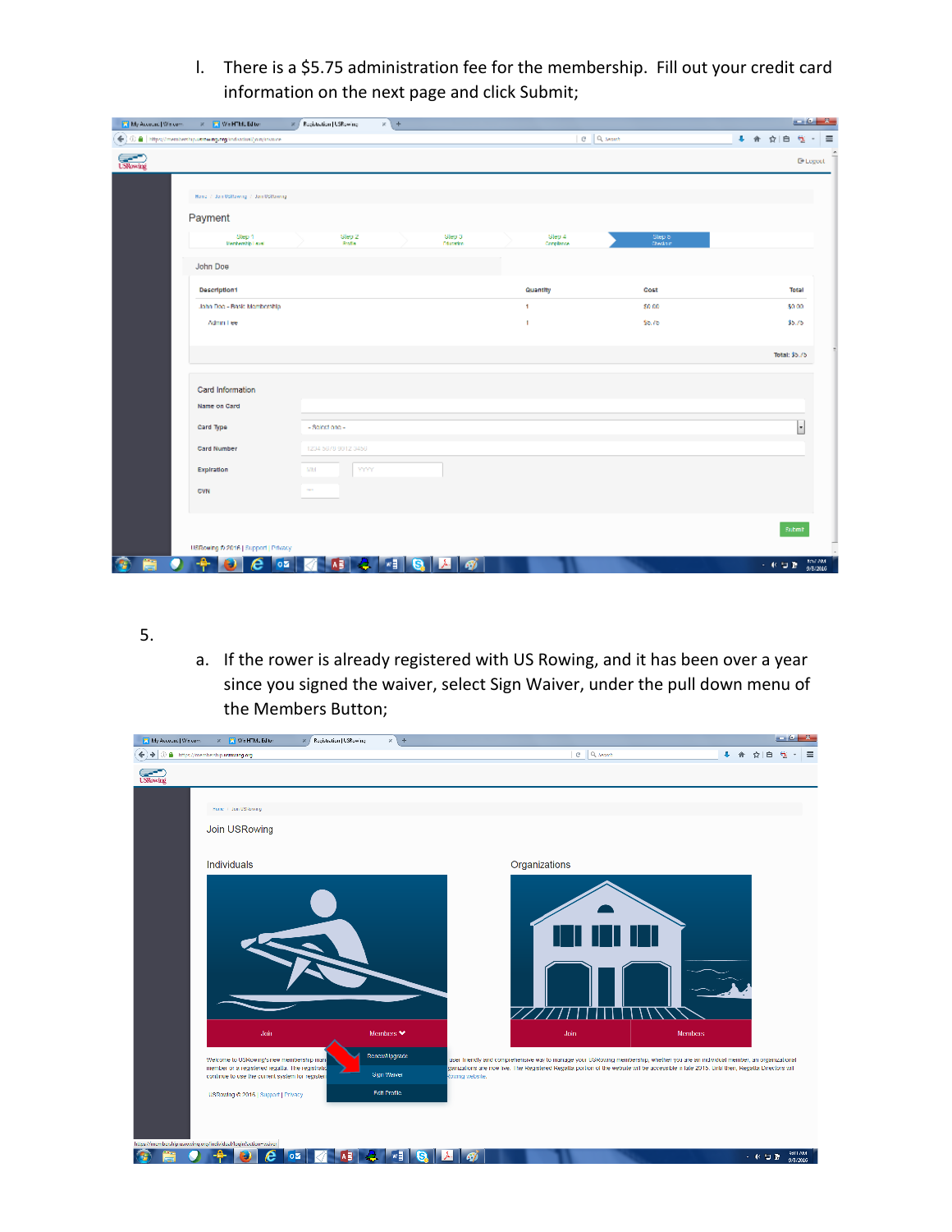l. There is a \$5.75 administration fee for the membership. Fill out your credit card information on the next page and click Submit;

| My Account   Wiscons | <b>R. D. Wa HTML Editor</b>                                   | X / Registration   USRowing | $x +$                            |                      |                     | $-10 - 3$                       |
|----------------------|---------------------------------------------------------------|-----------------------------|----------------------------------|----------------------|---------------------|---------------------------------|
|                      | ← C ■ https://memberchip.ustowing.org/individual/join/invoice |                             |                                  |                      | C Queent            | 4 合 合 自<br>$\Theta$<br>$\equiv$ |
| <b>Concert</b>       |                                                               |                             |                                  |                      |                     | <sup>(b)</sup> Legeet           |
|                      | Hand 7, Jan USBawing 7, Jan USBawing                          |                             |                                  |                      |                     |                                 |
|                      | Payment                                                       |                             |                                  |                      |                     |                                 |
|                      | Step 1<br>Renkemblp Level                                     | Slep 2<br>Rođe              | <b>Slep 3</b><br><b>Dispeter</b> | Slep 4<br>Completion | Step 5<br>Checks in |                                 |
|                      | John Doe                                                      |                             |                                  |                      |                     |                                 |
|                      | Description1                                                  |                             |                                  | Quantity             | Cost                | Total                           |
|                      | John Doc - Basic Membership                                   |                             |                                  | Ŧ.                   | \$0.00              | \$0.00                          |
|                      | Adminitiee                                                    |                             |                                  | f,                   | \$5.75              | \$5.75                          |
|                      |                                                               |                             |                                  |                      |                     |                                 |
|                      |                                                               |                             |                                  |                      |                     | Total: \$5.75                   |
|                      | Card Information                                              |                             |                                  |                      |                     |                                 |
|                      | Name on Card                                                  |                             |                                  |                      |                     |                                 |
|                      | Card Type                                                     | - Selectione -              |                                  |                      |                     | ŀ                               |
|                      |                                                               |                             |                                  |                      |                     |                                 |
|                      | Card Number                                                   | 1234 5678 9012 3456         |                                  |                      |                     |                                 |
|                      | Expiration                                                    | MM<br><b>YYYY</b>           |                                  |                      |                     |                                 |
|                      | CVN                                                           | <b>STAR</b>                 |                                  |                      |                     |                                 |
|                      |                                                               |                             |                                  |                      |                     |                                 |
|                      |                                                               |                             |                                  |                      |                     | Submit                          |
|                      | USRowing @ 2016   Support   Privacy                           |                             |                                  |                      |                     |                                 |
| Ξ                    | е<br>$\circ \overline{z}$                                     | A B                         | w<br>G<br>۱Â۰<br>A)              |                      |                     | for AM<br>人名拉登<br>9/8/2016      |

## 5.

a. If the rower is already registered with US Rowing, and it has been over a year since you signed the waiver, select Sign Waiver, under the pull down menu of the Members Button;

| My Account   Wiscom<br>x [7] We HTML Editor<br>Registration   USRewing                             | $x +$                 |                                                                                                                                                                       | ومناوسه                    |
|----------------------------------------------------------------------------------------------------|-----------------------|-----------------------------------------------------------------------------------------------------------------------------------------------------------------------|----------------------------|
| ÷<br>٠<br>3 A https://membership.ii/mwang.org                                                      |                       | C Q March                                                                                                                                                             | 会<br>≡<br>₿                |
| <b>Extensive</b>                                                                                   |                       |                                                                                                                                                                       |                            |
|                                                                                                    |                       |                                                                                                                                                                       |                            |
| Henry Filter US/Award                                                                              |                       |                                                                                                                                                                       |                            |
| Join USRowing                                                                                      |                       |                                                                                                                                                                       |                            |
|                                                                                                    |                       |                                                                                                                                                                       |                            |
| Individuals                                                                                        |                       | Organizations                                                                                                                                                         |                            |
|                                                                                                    |                       |                                                                                                                                                                       |                            |
|                                                                                                    |                       |                                                                                                                                                                       |                            |
|                                                                                                    |                       |                                                                                                                                                                       |                            |
|                                                                                                    |                       |                                                                                                                                                                       |                            |
|                                                                                                    |                       |                                                                                                                                                                       |                            |
|                                                                                                    |                       |                                                                                                                                                                       |                            |
|                                                                                                    |                       |                                                                                                                                                                       |                            |
|                                                                                                    |                       |                                                                                                                                                                       |                            |
|                                                                                                    |                       |                                                                                                                                                                       |                            |
| doin                                                                                               | Montages <sup>*</sup> | Join<br>Memboos                                                                                                                                                       |                            |
| Welcome to USRowing's new membership man-                                                          | Renew1/pgrade         | user friendly and comprehensive way to manage your USRowing membership, whether you are an individual member, an organizational                                       |                            |
| member or a registered regalla. The registratio<br>continue to use the current system for register | <b>Sign Waiver</b>    | ganizations are now live. The Registered Regalta portion of the website will be accessible in tale 2015. Until then, Regalta Directors will<br><b>Rowing</b> website. |                            |
| USRowing & 2016   Support   Privacy                                                                | <b>Fdf Profile</b>    |                                                                                                                                                                       |                            |
|                                                                                                    |                       |                                                                                                                                                                       |                            |
|                                                                                                    |                       |                                                                                                                                                                       |                            |
| https://membership.usrowing.org/individual/legin?action=waiver-                                    |                       |                                                                                                                                                                       |                            |
| A<br>oΣ                                                                                            | wĘ<br>s               | λ.                                                                                                                                                                    | RITTAM<br>一杯口酒<br>9/8/2016 |
|                                                                                                    |                       |                                                                                                                                                                       |                            |